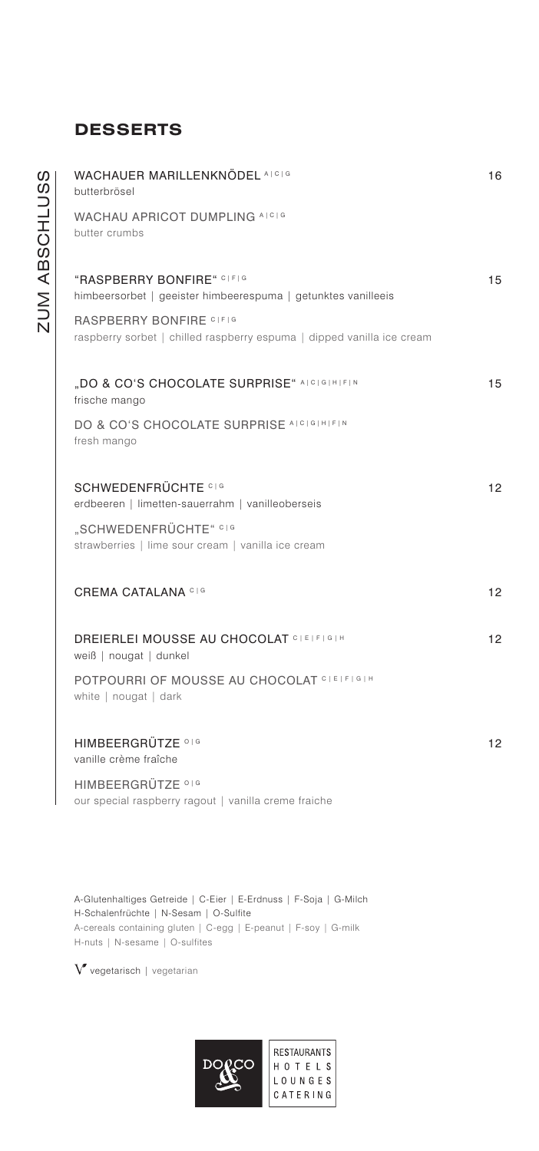# **DESSERTS**

| WACHAUER MARILLENKNÖDEL ALCIG<br>butterbrösel                                                     | 16 |
|---------------------------------------------------------------------------------------------------|----|
| WACHAU APRICOT DUMPLING AICIG<br>butter crumbs                                                    |    |
| "RASPBERRY BONFIRE" CIFIG<br>himbeersorbet   geeister himbeerespuma   getunktes vanilleeis        | 15 |
| RASPBERRY BONFIRE CIFIG<br>raspberry sorbet   chilled raspberry espuma   dipped vanilla ice cream |    |
| "DO & CO'S CHOCOLATE SURPRISE" AICIGIHIFIN<br>frische mango                                       | 15 |
| DO & CO'S CHOCOLATE SURPRISE ALCIGIHIFIN<br>fresh mango                                           |    |
| <b>SCHWEDENFRÜCHTE CIG</b><br>erdbeeren   limetten-sauerrahm   vanilleoberseis                    | 12 |
| "SCHWEDENFRÜCHTE" CIG<br>strawberries   lime sour cream   vanilla ice cream                       |    |
| <b>CREMA CATALANA CIG</b>                                                                         | 12 |
| <b>DREIERLEI MOUSSE AU CHOCOLAT CLEIFIGIH</b><br>weiß   nougat   dunkel                           | 12 |
| POTPOURRI OF MOUSSE AU CHOCOLAT CLETFIGIH<br>white   nougat   dark                                |    |
| HIMBEERGRÜTZE <sup>016</sup><br>vanille crème fraîche                                             | 12 |
| HIMBEERGRÜTZE <sup>016</sup><br>our special raspberry ragout   vanilla creme fraiche              |    |
|                                                                                                   |    |

A-Glutenhaltiges Getreide | C-Eier | E-Erdnuss | F-Soja | G-Milch H-Schalenfrüchte | N-Sesam | O-Sulfite A-cereals containing gluten | C-egg | E-peanut | F-soy | G-milk H-nuts | N-sesame | O-sulfites

 $\boldsymbol{V}$ vegetarisch | vegetarian